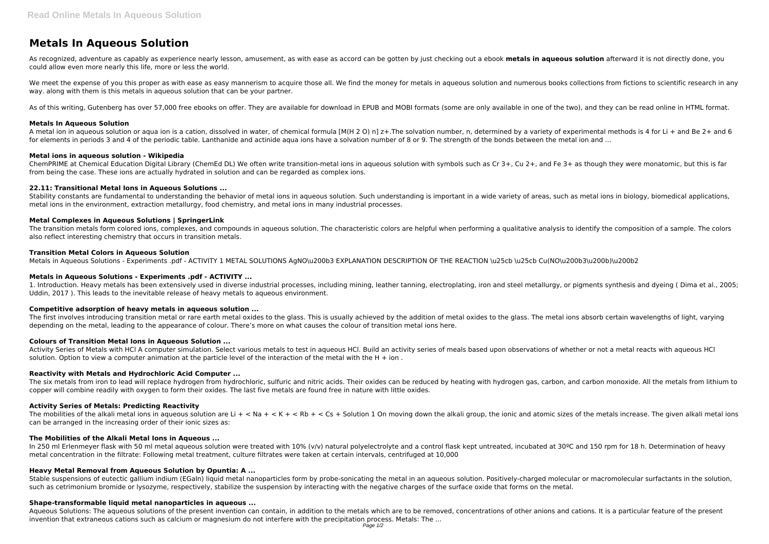# **Metals In Aqueous Solution**

As recognized, adventure as capably as experience nearly lesson, amusement, as with ease as accord can be gotten by just checking out a ebook **metals in aqueous solution** afterward it is not directly done, you could allow even more nearly this life, more or less the world.

We meet the expense of you this proper as with ease as easy mannerism to acquire those all. We find the money for metals in aqueous solution and numerous books collections from fictions to scientific research in any way. along with them is this metals in aqueous solution that can be your partner.

As of this writing, Gutenberg has over 57,000 free ebooks on offer. They are available for download in EPUB and MOBI formats (some are only available in one of the two), and they can be read online in HTML format.

# **Metals In Aqueous Solution**

Stability constants are fundamental to understanding the behavior of metal ions in aqueous solution. Such understanding is important in a wide variety of areas, such as metal ions in biology, biomedical applications, metal ions in the environment, extraction metallurgy, food chemistry, and metal ions in many industrial processes.

A metal ion in aqueous solution or aqua ion is a cation, dissolved in water, of chemical formula [M(H 2 O) n] z+.The solvation number, n, determined by a variety of experimental methods is 4 for Li + and Be 2+ and 6 for elements in periods 3 and 4 of the periodic table. Lanthanide and actinide aqua ions have a solvation number of 8 or 9. The strength of the bonds between the metal ion and ...

## **Metal ions in aqueous solution - Wikipedia**

ChemPRIME at Chemical Education Digital Library (ChemEd DL) We often write transition-metal ions in aqueous solution with symbols such as Cr 3+, Cu 2+, and Fe 3+ as though they were monatomic, but this is far from being the case. These ions are actually hydrated in solution and can be regarded as complex ions.

# **22.11: Transitional Metal Ions in Aqueous Solutions ...**

The first involves introducing transition metal or rare earth metal oxides to the glass. This is usually achieved by the addition of metal oxides to the glass. The metal ions absorb certain wavelengths of light, varying depending on the metal, leading to the appearance of colour. There's more on what causes the colour of transition metal ions here.

Activity Series of Metals with HCl A computer simulation. Select various metals to test in aqueous HCl. Build an activity series of meals based upon observations of whether or not a metal reacts with aqueous HCl solution. Option to view a computer animation at the particle level of the interaction of the metal with the H  $+$  ion.

# **Metal Complexes in Aqueous Solutions | SpringerLink**

The six metals from iron to lead will replace hydrogen from hydrochloric, sulfuric and nitric acids. Their oxides can be reduced by heating with hydrogen gas, carbon, and carbon monoxide. All the metals from lithium to copper will combine readily with oxygen to form their oxides. The last five metals are found free in nature with little oxides.

The transition metals form colored ions, complexes, and compounds in aqueous solution. The characteristic colors are helpful when performing a qualitative analysis to identify the composition of a sample. The colors also reflect interesting chemistry that occurs in transition metals.

The mobilities of the alkali metal ions in aqueous solution are Li  $+ <$  Na  $+ <$  K  $+ <$  Rb  $+ <$  Cs  $+$  Solution 1 On moving down the alkali group, the ionic and atomic sizes of the metals increase. The given alkali metal i can be arranged in the increasing order of their ionic sizes as:

# **Transition Metal Colors in Aqueous Solution**

In 250 ml Erlenmeyer flask with 50 ml metal aqueous solution were treated with 10% (v/v) natural polyelectrolyte and a control flask kept untreated, incubated at 30°C and 150 rpm for 18 h. Determination of heavy metal concentration in the filtrate: Following metal treatment, culture filtrates were taken at certain intervals, centrifuged at 10,000

Metals in Aqueous Solutions - Experiments .pdf - ACTIVITY 1 METAL SOLUTIONS AgNO\u200b3 EXPLANATION DESCRIPTION OF THE REACTION \u25cb \u25cb Cu(NO\u200b3\u200b)\u200b2

# **Metals in Aqueous Solutions - Experiments .pdf - ACTIVITY ...**

Stable suspensions of eutectic gallium indium (EGaIn) liquid metal nanoparticles form by probe-sonicating the metal in an aqueous solution. Positively-charged molecular or macromolecular surfactants in the solution, such as cetrimonium bromide or lysozyme, respectively, stabilize the suspension by interacting with the negative charges of the surface oxide that forms on the metal.

1. Introduction. Heavy metals has been extensively used in diverse industrial processes, including mining, leather tanning, electroplating, iron and steel metallurgy, or pigments synthesis and dyeing ( Dima et al., 2005; Uddin, 2017 ). This leads to the inevitable release of heavy metals to aqueous environment.

## **Competitive adsorption of heavy metals in aqueous solution ...**

# **Colours of Transition Metal Ions in Aqueous Solution ...**

## **Reactivity with Metals and Hydrochloric Acid Computer ...**

# **Activity Series of Metals: Predicting Reactivity**

## **The Mobilities of the Alkali Metal Ions in Aqueous ...**

# **Heavy Metal Removal from Aqueous Solution by Opuntia: A ...**

## **Shape-transformable liquid metal nanoparticles in aqueous ...**

Aqueous Solutions: The aqueous solutions of the present invention can contain, in addition to the metals which are to be removed, concentrations of other anions and cations. It is a particular feature of the present invention that extraneous cations such as calcium or magnesium do not interfere with the precipitation process. Metals: The ...